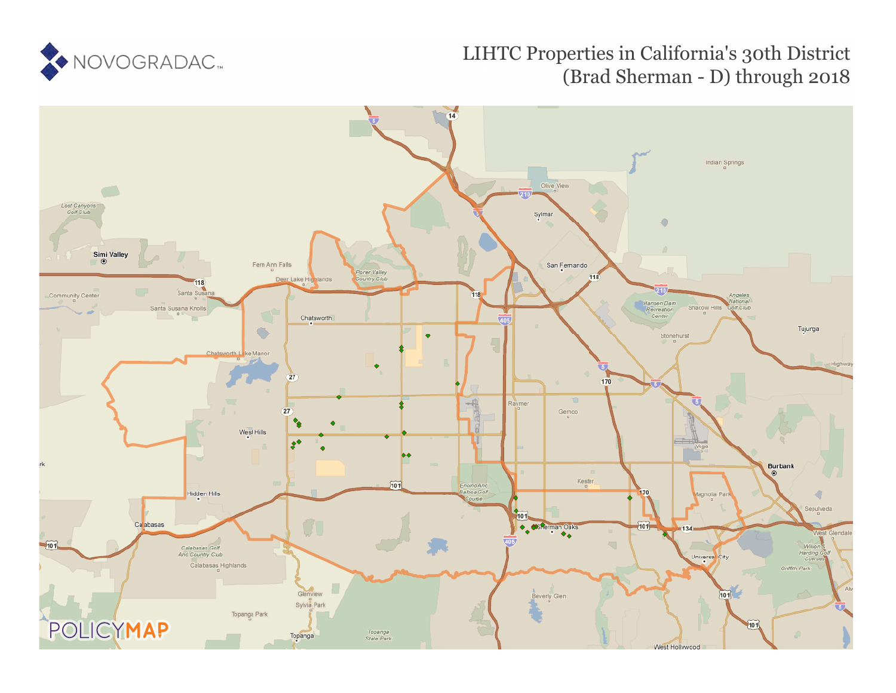

## LIHTC Properties in California's 30th District (Brad Sherman - D) through 2018

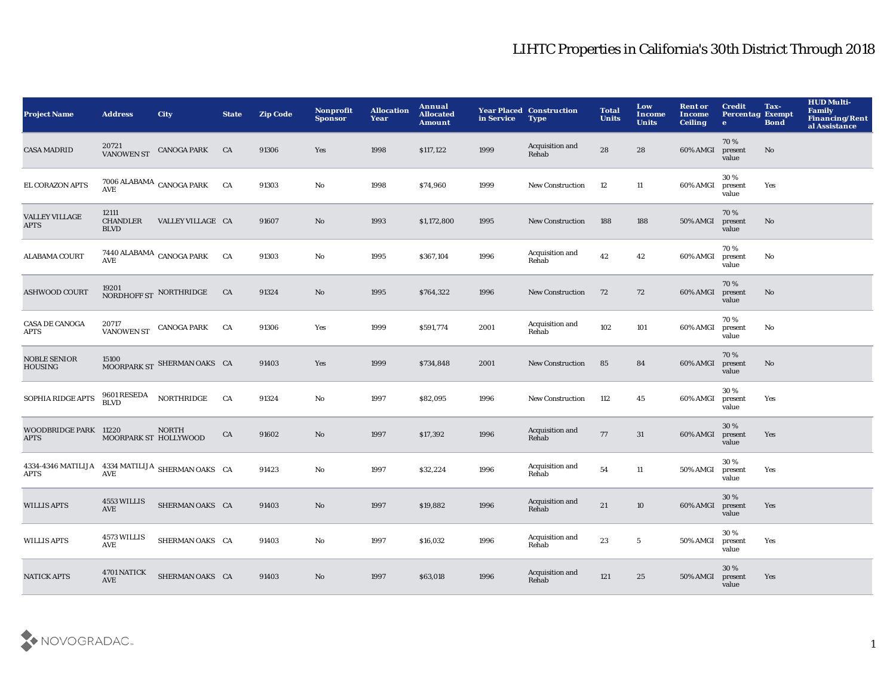## LIHTC Properties in California's 30th District Through 2018

| <b>Project Name</b>                                             | <b>Address</b>                          | <b>City</b>                     | <b>State</b> | <b>Zip Code</b> | Nonprofit<br><b>Sponsor</b> | <b>Allocation</b><br>Year | Annual<br><b>Allocated</b><br>Amount | in Service | <b>Year Placed Construction</b><br><b>Type</b> | <b>Total</b><br><b>Units</b> | Low<br><b>Income</b><br><b>Units</b> | <b>Rent or</b><br>Income<br><b>Ceiling</b> | <b>Credit</b><br><b>Percentag Exempt</b><br>$\bullet$ | Tax-<br><b>Bond</b> | <b>HUD Multi-</b><br><b>Family</b><br><b>Financing/Rent</b><br>al Assistance |
|-----------------------------------------------------------------|-----------------------------------------|---------------------------------|--------------|-----------------|-----------------------------|---------------------------|--------------------------------------|------------|------------------------------------------------|------------------------------|--------------------------------------|--------------------------------------------|-------------------------------------------------------|---------------------|------------------------------------------------------------------------------|
| <b>CASA MADRID</b>                                              | 20721<br><b>VANOWEN ST</b>              | <b>CANOGA PARK</b>              | CA           | 91306           | Yes                         | 1998                      | \$117,122                            | 1999       | Acquisition and<br>Rehab                       | 28                           | 28                                   | 60% AMGI                                   | 70%<br>present<br>value                               | No                  |                                                                              |
| EL CORAZON APTS                                                 | AVE                                     | $7006$ ALABAMA $\,$ CANOGA PARK | CA           | 91303           | $\mathbf {No}$              | 1998                      | \$74,960                             | 1999       | New Construction                               | 12                           | 11                                   | 60% AMGI                                   | 30%<br>present<br>value                               | Yes                 |                                                                              |
| <b>VALLEY VILLAGE</b><br><b>APTS</b>                            | 12111<br><b>CHANDLER</b><br><b>BLVD</b> | VALLEY VILLAGE CA               |              | 91607           | $\mathbf{No}$               | 1993                      | \$1,172,800                          | 1995       | <b>New Construction</b>                        | 188                          | 188                                  | 50% AMGI                                   | 70%<br>present<br>value                               | No                  |                                                                              |
| <b>ALABAMA COURT</b>                                            | AVE                                     | 7440 ALABAMA $\,$ CANOGA PARK   | <b>CA</b>    | 91303           | No                          | 1995                      | \$367,104                            | 1996       | Acquisition and<br>Rehab                       | 42                           | 42                                   | 60% AMGI                                   | 70%<br>present<br>value                               | No                  |                                                                              |
| <b>ASHWOOD COURT</b>                                            | 19201                                   | NORDHOFF ST NORTHRIDGE          | CA           | 91324           | $\mathbf{No}$               | 1995                      | \$764,322                            | 1996       | <b>New Construction</b>                        | 72                           | 72                                   | 60% AMGI                                   | 70%<br>present<br>value                               | No                  |                                                                              |
| <b>CASA DE CANOGA</b><br><b>APTS</b>                            | 20717<br><b>VANOWEN ST</b>              | <b>CANOGA PARK</b>              | CA           | 91306           | Yes                         | 1999                      | \$591,774                            | 2001       | Acquisition and<br>Rehab                       | 102                          | 101                                  | 60% AMGI                                   | 70%<br>present<br>value                               | No                  |                                                                              |
| <b>NOBLE SENIOR</b><br><b>HOUSING</b>                           | 15100                                   | MOORPARK ST SHERMAN OAKS CA     |              | 91403           | Yes                         | 1999                      | \$734,848                            | 2001       | <b>New Construction</b>                        | 85                           | 84                                   | 60% AMGI                                   | 70%<br>present<br>value                               | $\mathbf{No}$       |                                                                              |
| SOPHIA RIDGE APTS                                               | 9601 RESEDA<br><b>BLVD</b>              | <b>NORTHRIDGE</b>               | CA           | 91324           | No                          | 1997                      | \$82,095                             | 1996       | <b>New Construction</b>                        | 112                          | 45                                   | 60% AMGI                                   | 30 %<br>present<br>value                              | Yes                 |                                                                              |
| WOODBRIDGE PARK 11220<br><b>APTS</b>                            | MOORPARK ST HOLLYWOOD                   | <b>NORTH</b>                    | CA           | 91602           | $\mathbf{No}$               | 1997                      | \$17,392                             | 1996       | Acquisition and<br>Rehab                       | 77                           | 31                                   | 60% AMGI                                   | 30%<br>present<br>value                               | Yes                 |                                                                              |
| 4334-4346 MATILIJA 4334 MATILIJA SHERMAN OAKS CA<br><b>APTS</b> | $\operatorname{\mathbf{AVE}}$           |                                 |              | 91423           | $\mathbf{No}$               | 1997                      | \$32,224                             | 1996       | Acquisition and<br>Rehab                       | 54                           | $11\,$                               | 50% AMGI                                   | 30 %<br>present<br>value                              | Yes                 |                                                                              |
| <b>WILLIS APTS</b>                                              | 4553 WILLIS<br>AVE                      | SHERMAN OAKS CA                 |              | 91403           | No                          | 1997                      | \$19,882                             | 1996       | Acquisition and<br>Rehab                       | $21\,$                       | $10\,$                               | 60% AMGI                                   | 30%<br>present<br>value                               | Yes                 |                                                                              |
| <b>WILLIS APTS</b>                                              | 4573 WILLIS<br>AVE                      | SHERMAN OAKS CA                 |              | 91403           | No                          | 1997                      | \$16,032                             | 1996       | Acquisition and<br>Rehab                       | 23                           | $\sqrt{5}$                           | 50% AMGI                                   | 30%<br>present<br>value                               | Yes                 |                                                                              |
| <b>NATICK APTS</b>                                              | 4701 NATICK<br><b>AVE</b>               | SHERMAN OAKS CA                 |              | 91403           | No                          | 1997                      | \$63,018                             | 1996       | Acquisition and<br>Rehab                       | 121                          | 25                                   | 50% AMGI                                   | 30 %<br>present<br>value                              | Yes                 |                                                                              |

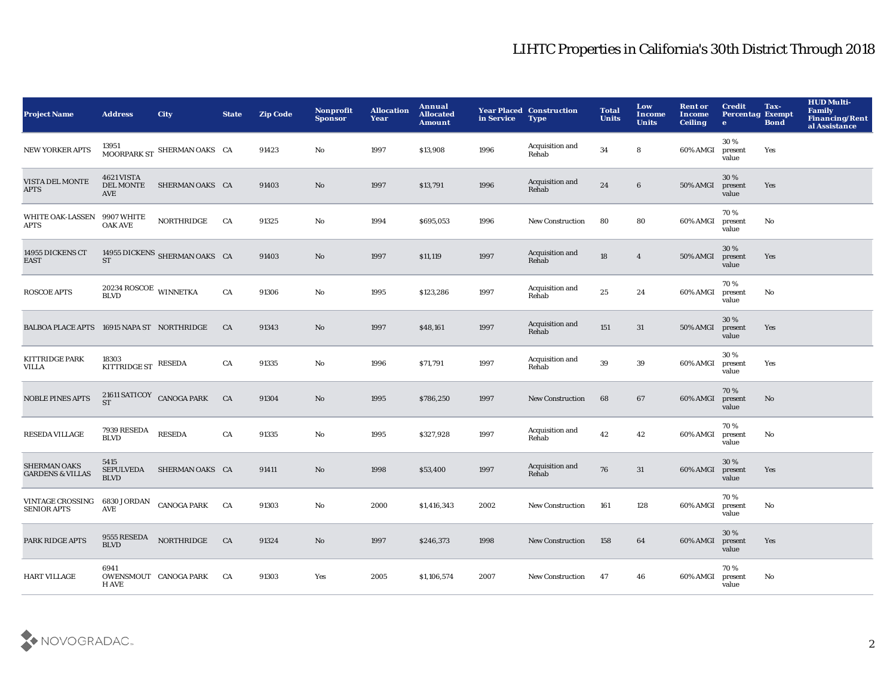## LIHTC Properties in California's 30th District Through 2018

| <b>Project Name</b>                                | <b>Address</b>                                                                | <b>City</b>                   | <b>State</b> | <b>Zip Code</b> | <b>Nonprofit</b><br><b>Sponsor</b> | <b>Allocation</b><br>Year | Annual<br><b>Allocated</b><br><b>Amount</b> | in Service | <b>Year Placed Construction</b><br><b>Type</b> | <b>Total</b><br><b>Units</b> | Low<br><b>Income</b><br><b>Units</b> | <b>Rent or</b><br><b>Income</b><br><b>Ceiling</b> | <b>Credit</b><br><b>Percentag Exempt</b><br>$\bullet$ | Tax-<br><b>Bond</b> | <b>HUD Multi-</b><br><b>Family</b><br><b>Financing/Rent</b><br>al Assistance |
|----------------------------------------------------|-------------------------------------------------------------------------------|-------------------------------|--------------|-----------------|------------------------------------|---------------------------|---------------------------------------------|------------|------------------------------------------------|------------------------------|--------------------------------------|---------------------------------------------------|-------------------------------------------------------|---------------------|------------------------------------------------------------------------------|
| <b>NEW YORKER APTS</b>                             | 13951                                                                         | MOORPARK ST SHERMAN OAKS CA   |              | 91423           | No                                 | 1997                      | \$13,908                                    | 1996       | Acquisition and<br>Rehab                       | 34                           | 8                                    | 60% AMGI                                          | 30 %<br>present<br>value                              | Yes                 |                                                                              |
| VISTA DEL MONTE<br><b>APTS</b>                     | <b>4621 VISTA</b><br><b>DEL MONTE</b><br>AVE                                  | SHERMAN OAKS CA               |              | 91403           | $\mathbf{No}$                      | 1997                      | \$13,791                                    | 1996       | Acquisition and<br>Rehab                       | 24                           | $6\phantom{.}6$                      | 50% AMGI                                          | 30%<br>present<br>value                               | Yes                 |                                                                              |
| <b>WHITE OAK-LASSEN</b><br><b>APTS</b>             | 9907 WHITE<br><b>OAK AVE</b>                                                  | <b>NORTHRIDGE</b>             | CA           | 91325           | $\mathbf{No}$                      | 1994                      | \$695,053                                   | 1996       | <b>New Construction</b>                        | 80                           | 80                                   | 60% AMGI                                          | 70 %<br>present<br>value                              | No                  |                                                                              |
| 14955 DICKENS CT<br><b>EAST</b>                    | <b>ST</b>                                                                     | 14955 DICKENS SHERMAN OAKS CA |              | 91403           | $\mathbf{N}\mathbf{o}$             | 1997                      | \$11,119                                    | 1997       | Acquisition and<br>Rehab                       | 18                           | $\boldsymbol{4}$                     | <b>50% AMGI</b>                                   | 30%<br>present<br>value                               | Yes                 |                                                                              |
| <b>ROSCOE APTS</b>                                 | $20234$ ROSCOE WINNETKA BLVD                                                  |                               | CA           | 91306           | $\mathbf {No}$                     | 1995                      | \$123,286                                   | 1997       | Acquisition and<br>Rehab                       | 25                           | $\bf 24$                             | 60% AMGI                                          | 70%<br>present<br>value                               | No                  |                                                                              |
| BALBOA PLACE APTS 16915 NAPA ST NORTHRIDGE         |                                                                               |                               | CA           | 91343           | No                                 | 1997                      | \$48,161                                    | 1997       | Acquisition and<br>Rehab                       | 151                          | 31                                   | 50% AMGI                                          | 30%<br>present<br>value                               | Yes                 |                                                                              |
| <b>KITTRIDGE PARK</b><br>VILLA                     | 18303<br><b>KITTRIDGE ST</b>                                                  | <b>RESEDA</b>                 | CA           | 91335           | No                                 | 1996                      | \$71,791                                    | 1997       | Acquisition and<br>Rehab                       | 39                           | 39                                   | 60% AMGI                                          | 30%<br>present<br>value                               | Yes                 |                                                                              |
| <b>NOBLE PINES APTS</b>                            | ${\begin{array}{cc} {\bf 21611\;SATICOY} \ {\bf ST} \end{array}}$ CANOGA PARK |                               | CA           | 91304           | $\mathbf{No}$                      | 1995                      | \$786,250                                   | 1997       | <b>New Construction</b>                        | 68                           | 67                                   | 60% AMGI                                          | 70%<br>present<br>value                               | No                  |                                                                              |
| <b>RESEDA VILLAGE</b>                              | 7939 RESEDA<br><b>BLVD</b>                                                    | <b>RESEDA</b>                 | CA           | 91335           | $\mathbf {No}$                     | 1995                      | \$327,928                                   | 1997       | Acquisition and<br>Rehab                       | 42                           | 42                                   | 60% AMGI                                          | 70%<br>present<br>value                               | No                  |                                                                              |
| <b>SHERMAN OAKS</b><br><b>GARDENS &amp; VILLAS</b> | 5415<br><b>SEPULVEDA</b><br><b>BLVD</b>                                       | SHERMAN OAKS CA               |              | 91411           | $\rm\thinspace No$                 | 1998                      | \$53,400                                    | 1997       | Acquisition and<br>Rehab                       | 76                           | 31                                   | 60% AMGI                                          | 30%<br>present<br>value                               | Yes                 |                                                                              |
| <b>VINTAGE CROSSING</b><br><b>SENIOR APTS</b>      | 6830 JORDAN CANOGA PARK<br>AVE                                                |                               | CA           | 91303           | No                                 | 2000                      | \$1,416,343                                 | 2002       | New Construction                               | 161                          | 128                                  | 60% AMGI                                          | 70%<br>present<br>value                               | No                  |                                                                              |
| PARK RIDGE APTS                                    | 9555 RESEDA<br><b>BLVD</b>                                                    | NORTHRIDGE                    | CA           | 91324           | $\mathbf{N}\mathbf{o}$             | 1997                      | \$246,373                                   | 1998       | <b>New Construction</b>                        | 158                          | 64                                   | 60% AMGI                                          | 30%<br>present<br>value                               | Yes                 |                                                                              |
| <b>HART VILLAGE</b>                                | 6941<br><b>H AVE</b>                                                          | OWENSMOUT CANOGA PARK         | CA           | 91303           | Yes                                | 2005                      | \$1,106,574                                 | 2007       | <b>New Construction</b>                        | 47                           | 46                                   | 60% AMGI                                          | 70%<br>present<br>value                               | No                  |                                                                              |